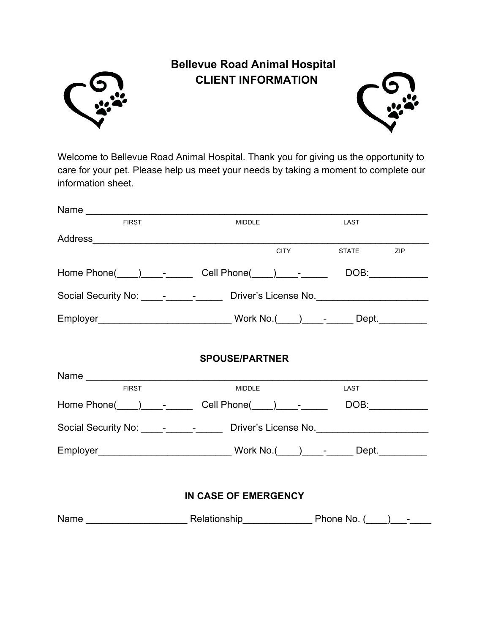

## **Bellevue Road Animal Hospital CLIENT INFORMATION**



Welcome to Bellevue Road Animal Hospital. Thank you for giving us the opportunity to care for your pet. Please help us meet your needs by taking a moment to complete our information sheet.

| <b>FIRST</b>         | MIDDLE                | LAST                                                                              |  |  |  |  |
|----------------------|-----------------------|-----------------------------------------------------------------------------------|--|--|--|--|
|                      |                       |                                                                                   |  |  |  |  |
|                      |                       | CITY STATE ZIP                                                                    |  |  |  |  |
|                      |                       |                                                                                   |  |  |  |  |
|                      |                       | Social Security No: _____-_________________ Driver's License No. ________________ |  |  |  |  |
|                      |                       | Employer___________________________________Work No.(____)____-______Dept.________ |  |  |  |  |
|                      | <b>SPOUSE/PARTNER</b> |                                                                                   |  |  |  |  |
|                      |                       |                                                                                   |  |  |  |  |
| <b>FIRST</b>         | <b>MIDDLE</b>         | LAST                                                                              |  |  |  |  |
|                      |                       | Home Phone( ) - - Cell Phone( ) - - DOB:                                          |  |  |  |  |
|                      |                       | Social Security No: _____-_________________ Driver's License No. ________________ |  |  |  |  |
|                      |                       | Employer________________________________Work No.(____)____-_____Dept.___________  |  |  |  |  |
|                      |                       |                                                                                   |  |  |  |  |
| IN CASE OF EMERGENCY |                       |                                                                                   |  |  |  |  |
|                      |                       |                                                                                   |  |  |  |  |